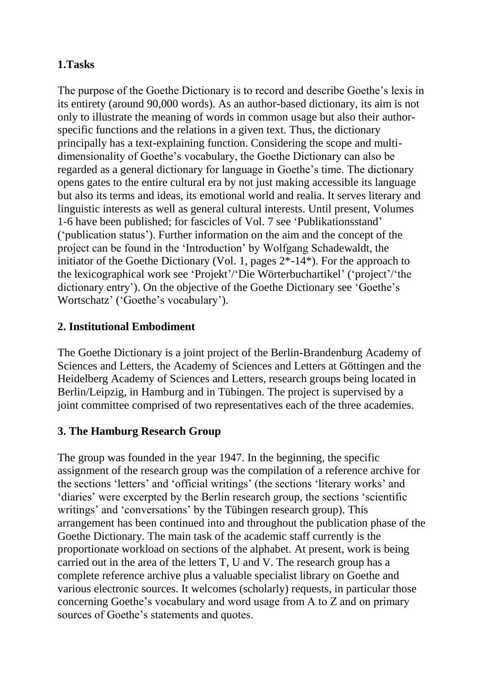# **1.Tasks**

The purpose of the Goethe Dictionary is to record and describe Goethe's lexis in its entirety (around 90,000 words). As an author-based dictionary, its aim is not only to illustrate the meaning of words in common usage but also their authorspecific functions and the relations in a given text. Thus, the dictionary principally has a text-explaining function. Considering the scope and multidimensionality of Goethe's vocabulary, the Goethe Dictionary can also be regarded as a general dictionary for language in Goethe's time. The dictionary opens gates to the entire cultural era by not just making accessible its language but also its terms and ideas, its emotional world and realia. It serves literary and linguistic interests as well as general cultural interests. Until present, Volumes 1-6 have been published; for fascicles of Vol. 7 see 'Publikationsstand' ('publication status'). Further information on the aim and the concept of the project can be found in the 'Introduction' by Wolfgang Schadewaldt, the initiator of the Goethe Dictionary (Vol. 1, pages 2\*-14\*). For the approach to the lexicographical work see 'Projekt'/'Die Wörterbuchartikel' ('project'/'the dictionary entry'). On the objective of the Goethe Dictionary see 'Goethe's Wortschatz' ('Goethe's vocabulary').

# **2. Institutional Embodiment**

The Goethe Dictionary is a joint project of the Berlin-Brandenburg Academy of Sciences and Letters, the Academy of Sciences and Letters at Göttingen and the Heidelberg Academy of Sciences and Letters, research groups being located in Berlin/Leipzig, in Hamburg and in Tübingen. The project is supervised by a joint committee comprised of two representatives each of the three academies.

## **3. The Hamburg Research Group**

The group was founded in the year 1947. In the beginning, the specific assignment of the research group was the compilation of a reference archive for the sections 'letters' and 'official writings' (the sections 'literary works' and 'diaries' were excerpted by the Berlin research group, the sections 'scientific writings' and 'conversations' by the Tübingen research group). This arrangement has been continued into and throughout the publication phase of the Goethe Dictionary. The main task of the academic staff currently is the proportionate workload on sections of the alphabet. At present, work is being carried out in the area of the letters T, U and V. The research group has a complete reference archive plus a valuable specialist library on Goethe and various electronic sources. It welcomes (scholarly) requests, in particular those concerning Goethe's vocabulary and word usage from A to Z and on primary sources of Goethe's statements and quotes.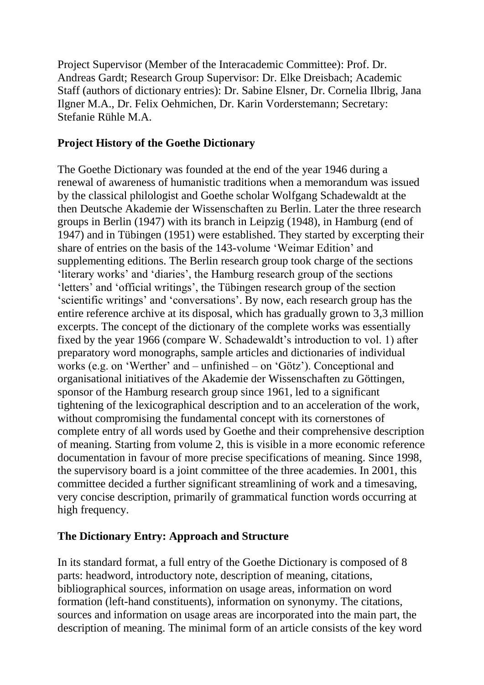Project Supervisor (Member of the Interacademic Committee): Prof. Dr. Andreas Gardt; Research Group Supervisor: Dr. Elke Dreisbach; Academic Staff (authors of dictionary entries): Dr. Sabine Elsner, Dr. Cornelia Ilbrig, Jana Ilgner M.A., Dr. Felix Oehmichen, Dr. Karin Vorderstemann; Secretary: Stefanie Rühle M.A.

### **Project History of the Goethe Dictionary**

The Goethe Dictionary was founded at the end of the year 1946 during a renewal of awareness of humanistic traditions when a memorandum was issued by the classical philologist and Goethe scholar Wolfgang Schadewaldt at the then Deutsche Akademie der Wissenschaften zu Berlin. Later the three research groups in Berlin (1947) with its branch in Leipzig (1948), in Hamburg (end of 1947) and in Tübingen (1951) were established. They started by excerpting their share of entries on the basis of the 143-volume 'Weimar Edition' and supplementing editions. The Berlin research group took charge of the sections 'literary works' and 'diaries', the Hamburg research group of the sections 'letters' and 'official writings', the Tübingen research group of the section 'scientific writings' and 'conversations'. By now, each research group has the entire reference archive at its disposal, which has gradually grown to 3,3 million excerpts. The concept of the dictionary of the complete works was essentially fixed by the year 1966 (compare W. Schadewaldt's introduction to vol. 1) after preparatory word monographs, sample articles and dictionaries of individual works (e.g. on 'Werther' and – unfinished – on 'Götz'). Conceptional and organisational initiatives of the Akademie der Wissenschaften zu Göttingen, sponsor of the Hamburg research group since 1961, led to a significant tightening of the lexicographical description and to an acceleration of the work, without compromising the fundamental concept with its cornerstones of complete entry of all words used by Goethe and their comprehensive description of meaning. Starting from volume 2, this is visible in a more economic reference documentation in favour of more precise specifications of meaning. Since 1998, the supervisory board is a joint committee of the three academies. In 2001, this committee decided a further significant streamlining of work and a timesaving, very concise description, primarily of grammatical function words occurring at high frequency.

#### **The Dictionary Entry: Approach and Structure**

In its standard format, a full entry of the Goethe Dictionary is composed of 8 parts: headword, introductory note, description of meaning, citations, bibliographical sources, information on usage areas, information on word formation (left-hand constituents), information on synonymy. The citations, sources and information on usage areas are incorporated into the main part, the description of meaning. The minimal form of an article consists of the key word